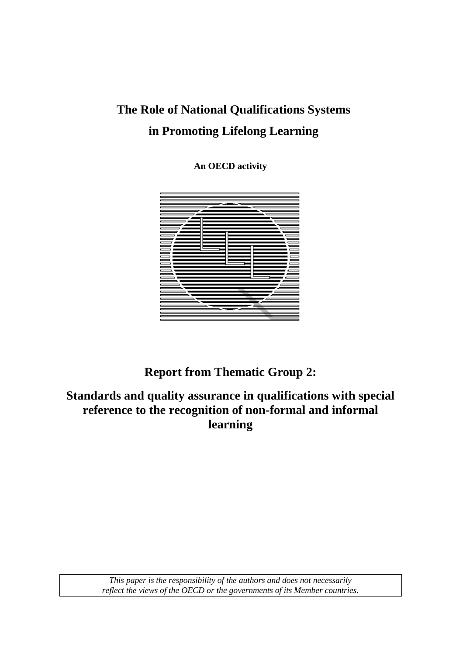# **The Role of National Qualifications Systems in Promoting Lifelong Learning**

**An OECD activity** 



**Report from Thematic Group 2:** 

**Standards and quality assurance in qualifications with special reference to the recognition of non-formal and informal learning** 

> *This paper is the responsibility of the authors and does not necessarily reflect the views of the OECD or the governments of its Member countries.*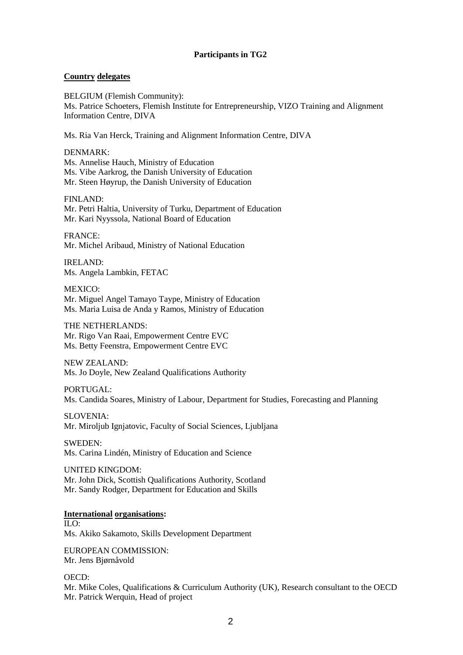#### **Participants in TG2**

#### **Country delegates**

BELGIUM (Flemish Community): Ms. Patrice Schoeters, Flemish Institute for Entrepreneurship, VIZO Training and Alignment Information Centre, DIVA

Ms. Ria Van Herck, Training and Alignment Information Centre, DIVA

DENMARK: Ms. Annelise Hauch, Ministry of Education Ms. Vibe Aarkrog, the Danish University of Education Mr. Steen Høyrup, the Danish University of Education

FINLAND: Mr. Petri Haltia, University of Turku, Department of Education Mr. Kari Nyyssola, National Board of Education

FRANCE: Mr. Michel Aribaud, Ministry of National Education

IRELAND: Ms. Angela Lambkin, FETAC

MEXICO: Mr. Miguel Angel Tamayo Taype, Ministry of Education Ms. Maria Luisa de Anda y Ramos, Ministry of Education

THE NETHERLANDS: Mr. Rigo Van Raai, Empowerment Centre EVC Ms. Betty Feenstra, Empowerment Centre EVC

NEW ZEALAND: Ms. Jo Doyle, New Zealand Qualifications Authority

PORTUGAL: Ms. Candida Soares, Ministry of Labour, Department for Studies, Forecasting and Planning

SLOVENIA: Mr. Miroljub Ignjatovic, Faculty of Social Sciences, Ljubljana

SWEDEN: Ms. Carina Lindén, Ministry of Education and Science

UNITED KINGDOM: Mr. John Dick, Scottish Qualifications Authority, Scotland Mr. Sandy Rodger, Department for Education and Skills

#### **International organisations:**

ILO: Ms. Akiko Sakamoto, Skills Development Department

EUROPEAN COMMISSION: Mr. Jens Bjørnåvold

OECD: Mr. Mike Coles, Qualifications & Curriculum Authority (UK), Research consultant to the OECD Mr. Patrick Werquin, Head of project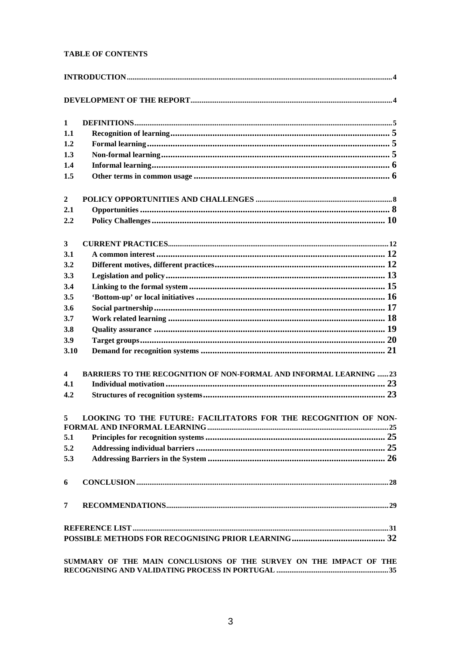#### **TABLE OF CONTENTS**

| $\mathbf{1}$            |                                                                            |
|-------------------------|----------------------------------------------------------------------------|
| 1.1                     |                                                                            |
| 1.2                     |                                                                            |
| 1.3                     |                                                                            |
| 1.4                     |                                                                            |
| 1.5                     |                                                                            |
| $\overline{2}$          |                                                                            |
| 2.1                     |                                                                            |
| 2.2                     |                                                                            |
| 3                       |                                                                            |
| 3.1                     |                                                                            |
| 3.2                     |                                                                            |
| 3.3                     |                                                                            |
| 3.4                     |                                                                            |
| 3.5                     |                                                                            |
| 3.6                     |                                                                            |
| 3.7                     |                                                                            |
| 3.8                     |                                                                            |
| 3.9                     |                                                                            |
| 3.10                    |                                                                            |
| $\overline{\mathbf{4}}$ | <b>BARRIERS TO THE RECOGNITION OF NON-FORMAL AND INFORMAL LEARNING  23</b> |
| 4.1                     |                                                                            |
| 4.2                     |                                                                            |
| $5^{\circ}$             | LOOKING TO THE FUTURE: FACILITATORS FOR THE RECOGNITION OF NON-            |
| 5.1                     |                                                                            |
| 5.2                     |                                                                            |
| 5.3                     |                                                                            |
| 6                       |                                                                            |
| 7                       |                                                                            |
|                         |                                                                            |
|                         |                                                                            |
|                         |                                                                            |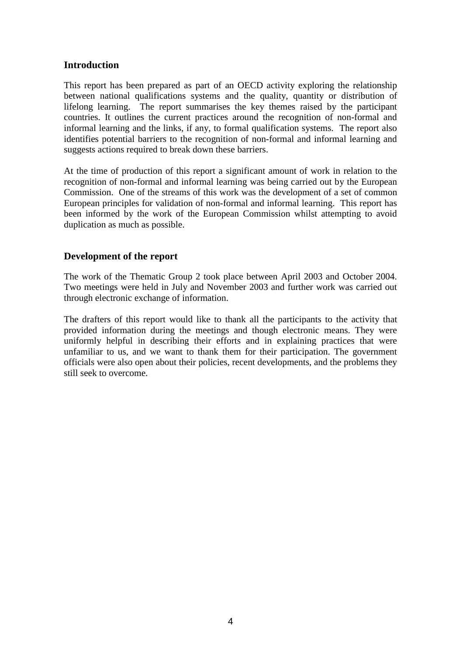#### **Introduction**

This report has been prepared as part of an OECD activity exploring the relationship between national qualifications systems and the quality, quantity or distribution of lifelong learning. The report summarises the key themes raised by the participant countries. It outlines the current practices around the recognition of non-formal and informal learning and the links, if any, to formal qualification systems. The report also identifies potential barriers to the recognition of non-formal and informal learning and suggests actions required to break down these barriers.

At the time of production of this report a significant amount of work in relation to the recognition of non-formal and informal learning was being carried out by the European Commission. One of the streams of this work was the development of a set of common European principles for validation of non-formal and informal learning. This report has been informed by the work of the European Commission whilst attempting to avoid duplication as much as possible.

#### **Development of the report**

The work of the Thematic Group 2 took place between April 2003 and October 2004. Two meetings were held in July and November 2003 and further work was carried out through electronic exchange of information.

The drafters of this report would like to thank all the participants to the activity that provided information during the meetings and though electronic means. They were uniformly helpful in describing their efforts and in explaining practices that were unfamiliar to us, and we want to thank them for their participation. The government officials were also open about their policies, recent developments, and the problems they still seek to overcome.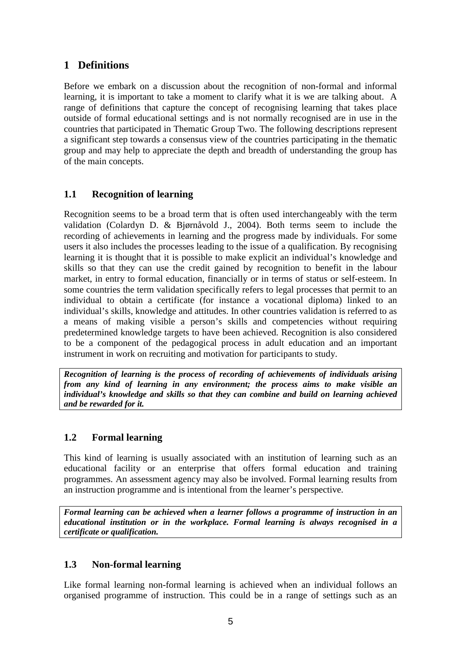# **1 Definitions**

Before we embark on a discussion about the recognition of non-formal and informal learning, it is important to take a moment to clarify what it is we are talking about. A range of definitions that capture the concept of recognising learning that takes place outside of formal educational settings and is not normally recognised are in use in the countries that participated in Thematic Group Two. The following descriptions represent a significant step towards a consensus view of the countries participating in the thematic group and may help to appreciate the depth and breadth of understanding the group has of the main concepts.

# **1.1 Recognition of learning**

Recognition seems to be a broad term that is often used interchangeably with the term validation (Colardyn D. & Bjørnåvold J., 2004). Both terms seem to include the recording of achievements in learning and the progress made by individuals. For some users it also includes the processes leading to the issue of a qualification. By recognising learning it is thought that it is possible to make explicit an individual's knowledge and skills so that they can use the credit gained by recognition to benefit in the labour market, in entry to formal education, financially or in terms of status or self-esteem. In some countries the term validation specifically refers to legal processes that permit to an individual to obtain a certificate (for instance a vocational diploma) linked to an individual's skills, knowledge and attitudes. In other countries validation is referred to as a means of making visible a person's skills and competencies without requiring predetermined knowledge targets to have been achieved. Recognition is also considered to be a component of the pedagogical process in adult education and an important instrument in work on recruiting and motivation for participants to study.

*Recognition of learning is the process of recording of achievements of individuals arising from any kind of learning in any environment; the process aims to make visible an individual's knowledge and skills so that they can combine and build on learning achieved and be rewarded for it.* 

# **1.2 Formal learning**

This kind of learning is usually associated with an institution of learning such as an educational facility or an enterprise that offers formal education and training programmes. An assessment agency may also be involved. Formal learning results from an instruction programme and is intentional from the learner's perspective.

*Formal learning can be achieved when a learner follows a programme of instruction in an educational institution or in the workplace. Formal learning is always recognised in a certificate or qualification.* 

# **1.3 Non-formal learning**

Like formal learning non-formal learning is achieved when an individual follows an organised programme of instruction. This could be in a range of settings such as an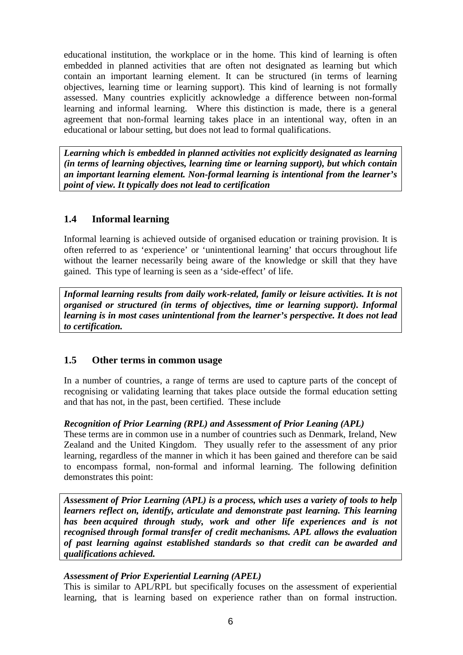educational institution, the workplace or in the home. This kind of learning is often embedded in planned activities that are often not designated as learning but which contain an important learning element. It can be structured (in terms of learning objectives, learning time or learning support). This kind of learning is not formally assessed. Many countries explicitly acknowledge a difference between non-formal learning and informal learning. Where this distinction is made, there is a general agreement that non-formal learning takes place in an intentional way, often in an educational or labour setting, but does not lead to formal qualifications.

*Learning which is embedded in planned activities not explicitly designated as learning (in terms of learning objectives, learning time or learning support), but which contain an important learning element. Non-formal learning is intentional from the learner's point of view. It typically does not lead to certification* 

# **1.4 Informal learning**

Informal learning is achieved outside of organised education or training provision. It is often referred to as 'experience' or 'unintentional learning' that occurs throughout life without the learner necessarily being aware of the knowledge or skill that they have gained. This type of learning is seen as a 'side-effect' of life.

*Informal learning results from daily work-related, family or leisure activities. It is not organised or structured (in terms of objectives, time or learning support). Informal learning is in most cases unintentional from the learner's perspective. It does not lead to certification.* 

# **1.5 Other terms in common usage**

In a number of countries, a range of terms are used to capture parts of the concept of recognising or validating learning that takes place outside the formal education setting and that has not, in the past, been certified. These include

#### *Recognition of Prior Learning (RPL) and Assessment of Prior Leaning (APL)*

These terms are in common use in a number of countries such as Denmark, Ireland, New Zealand and the United Kingdom. They usually refer to the assessment of any prior learning, regardless of the manner in which it has been gained and therefore can be said to encompass formal, non-formal and informal learning. The following definition demonstrates this point:

*Assessment of Prior Learning (APL) is a process, which uses a variety of tools to help learners reflect on, identify, articulate and demonstrate past learning. This learning has been acquired through study, work and other life experiences and is not recognised through formal transfer of credit mechanisms. APL allows the evaluation of past learning against established standards so that credit can be awarded and qualifications achieved.* 

#### *Assessment of Prior Experiential Learning (APEL)*

This is similar to APL/RPL but specifically focuses on the assessment of experiential learning, that is learning based on experience rather than on formal instruction.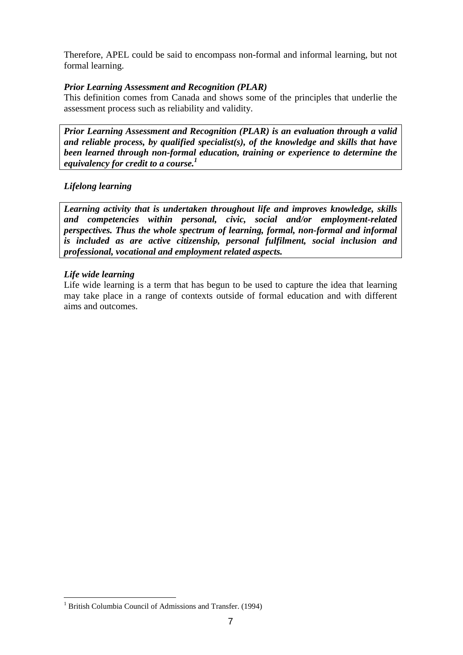Therefore, APEL could be said to encompass non-formal and informal learning, but not formal learning.

#### *Prior Learning Assessment and Recognition (PLAR)*

This definition comes from Canada and shows some of the principles that underlie the assessment process such as reliability and validity.

*Prior Learning Assessment and Recognition (PLAR) is an evaluation through a valid and reliable process, by qualified specialist(s), of the knowledge and skills that have been learned through non-formal education, training or experience to determine the equivalency for credit to a course.1*

#### *Lifelong learning*

*Learning activity that is undertaken throughout life and improves knowledge, skills and competencies within personal, civic, social and/or employment-related perspectives. Thus the whole spectrum of learning, formal, non-formal and informal is included as are active citizenship, personal fulfilment, social inclusion and professional, vocational and employment related aspects.* 

#### *Life wide learning*

l

Life wide learning is a term that has begun to be used to capture the idea that learning may take place in a range of contexts outside of formal education and with different aims and outcomes.

<sup>&</sup>lt;sup>1</sup> British Columbia Council of Admissions and Transfer. (1994)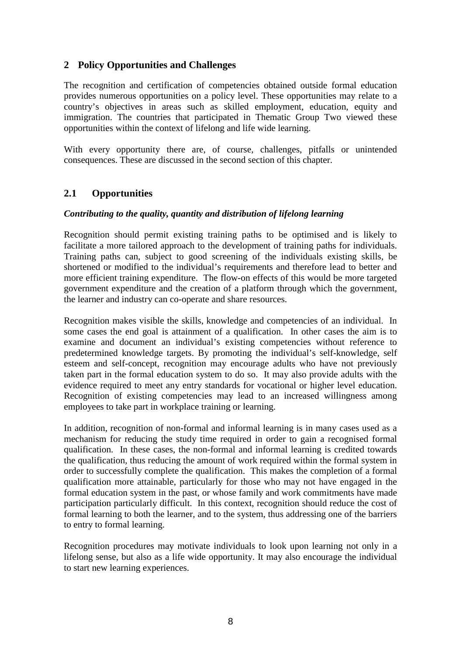### **2 Policy Opportunities and Challenges**

The recognition and certification of competencies obtained outside formal education provides numerous opportunities on a policy level. These opportunities may relate to a country's objectives in areas such as skilled employment, education, equity and immigration. The countries that participated in Thematic Group Two viewed these opportunities within the context of lifelong and life wide learning.

With every opportunity there are, of course, challenges, pitfalls or unintended consequences. These are discussed in the second section of this chapter.

# **2.1 Opportunities**

#### *Contributing to the quality, quantity and distribution of lifelong learning*

Recognition should permit existing training paths to be optimised and is likely to facilitate a more tailored approach to the development of training paths for individuals. Training paths can, subject to good screening of the individuals existing skills, be shortened or modified to the individual's requirements and therefore lead to better and more efficient training expenditure. The flow-on effects of this would be more targeted government expenditure and the creation of a platform through which the government, the learner and industry can co-operate and share resources.

Recognition makes visible the skills, knowledge and competencies of an individual. In some cases the end goal is attainment of a qualification. In other cases the aim is to examine and document an individual's existing competencies without reference to predetermined knowledge targets. By promoting the individual's self-knowledge, self esteem and self-concept, recognition may encourage adults who have not previously taken part in the formal education system to do so. It may also provide adults with the evidence required to meet any entry standards for vocational or higher level education. Recognition of existing competencies may lead to an increased willingness among employees to take part in workplace training or learning.

In addition, recognition of non-formal and informal learning is in many cases used as a mechanism for reducing the study time required in order to gain a recognised formal qualification. In these cases, the non-formal and informal learning is credited towards the qualification, thus reducing the amount of work required within the formal system in order to successfully complete the qualification. This makes the completion of a formal qualification more attainable, particularly for those who may not have engaged in the formal education system in the past, or whose family and work commitments have made participation particularly difficult. In this context, recognition should reduce the cost of formal learning to both the learner, and to the system, thus addressing one of the barriers to entry to formal learning.

Recognition procedures may motivate individuals to look upon learning not only in a lifelong sense, but also as a life wide opportunity. It may also encourage the individual to start new learning experiences.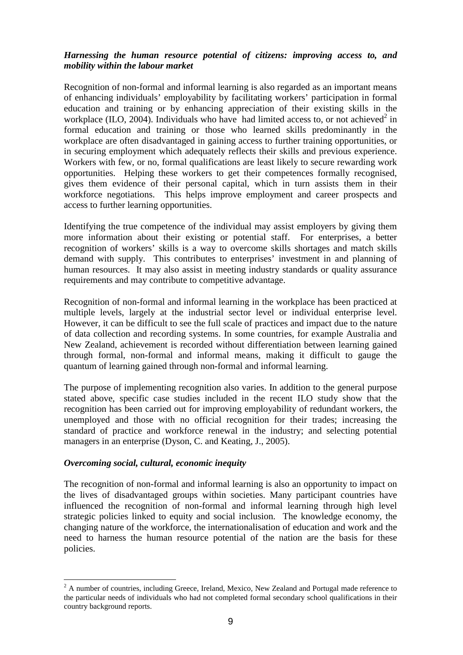#### *Harnessing the human resource potential of citizens: improving access to, and mobility within the labour market*

Recognition of non-formal and informal learning is also regarded as an important means of enhancing individuals' employability by facilitating workers' participation in formal education and training or by enhancing appreciation of their existing skills in the workplace (ILO, 2004). Individuals who have had limited access to, or not achieved<sup>2</sup> in formal education and training or those who learned skills predominantly in the workplace are often disadvantaged in gaining access to further training opportunities, or in securing employment which adequately reflects their skills and previous experience. Workers with few, or no, formal qualifications are least likely to secure rewarding work opportunities. Helping these workers to get their competences formally recognised, gives them evidence of their personal capital, which in turn assists them in their workforce negotiations. This helps improve employment and career prospects and access to further learning opportunities.

Identifying the true competence of the individual may assist employers by giving them more information about their existing or potential staff. For enterprises, a better recognition of workers' skills is a way to overcome skills shortages and match skills demand with supply. This contributes to enterprises' investment in and planning of human resources. It may also assist in meeting industry standards or quality assurance requirements and may contribute to competitive advantage.

Recognition of non-formal and informal learning in the workplace has been practiced at multiple levels, largely at the industrial sector level or individual enterprise level. However, it can be difficult to see the full scale of practices and impact due to the nature of data collection and recording systems. In some countries, for example Australia and New Zealand, achievement is recorded without differentiation between learning gained through formal, non-formal and informal means, making it difficult to gauge the quantum of learning gained through non-formal and informal learning.

The purpose of implementing recognition also varies. In addition to the general purpose stated above, specific case studies included in the recent ILO study show that the recognition has been carried out for improving employability of redundant workers, the unemployed and those with no official recognition for their trades; increasing the standard of practice and workforce renewal in the industry; and selecting potential managers in an enterprise (Dyson, C. and Keating, J., 2005).

#### *Overcoming social, cultural, economic inequity*

The recognition of non-formal and informal learning is also an opportunity to impact on the lives of disadvantaged groups within societies. Many participant countries have influenced the recognition of non-formal and informal learning through high level strategic policies linked to equity and social inclusion. The knowledge economy, the changing nature of the workforce, the internationalisation of education and work and the need to harness the human resource potential of the nation are the basis for these policies.

<sup>&</sup>lt;sup>2</sup> A number of countries, including Greece, Ireland, Mexico, New Zealand and Portugal made reference to the particular needs of individuals who had not completed formal secondary school qualifications in their country background reports.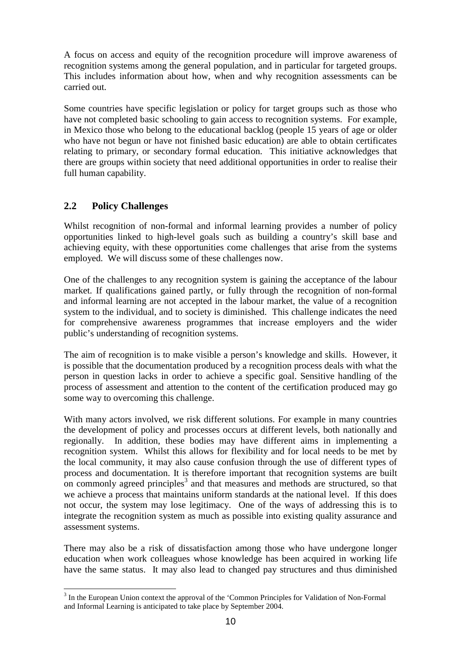A focus on access and equity of the recognition procedure will improve awareness of recognition systems among the general population, and in particular for targeted groups. This includes information about how, when and why recognition assessments can be carried out.

Some countries have specific legislation or policy for target groups such as those who have not completed basic schooling to gain access to recognition systems. For example, in Mexico those who belong to the educational backlog (people 15 years of age or older who have not begun or have not finished basic education) are able to obtain certificates relating to primary, or secondary formal education. This initiative acknowledges that there are groups within society that need additional opportunities in order to realise their full human capability.

# **2.2 Policy Challenges**

 $\overline{a}$ 

Whilst recognition of non-formal and informal learning provides a number of policy opportunities linked to high-level goals such as building a country's skill base and achieving equity, with these opportunities come challenges that arise from the systems employed. We will discuss some of these challenges now.

One of the challenges to any recognition system is gaining the acceptance of the labour market. If qualifications gained partly, or fully through the recognition of non-formal and informal learning are not accepted in the labour market, the value of a recognition system to the individual, and to society is diminished. This challenge indicates the need for comprehensive awareness programmes that increase employers and the wider public's understanding of recognition systems.

The aim of recognition is to make visible a person's knowledge and skills. However, it is possible that the documentation produced by a recognition process deals with what the person in question lacks in order to achieve a specific goal. Sensitive handling of the process of assessment and attention to the content of the certification produced may go some way to overcoming this challenge.

With many actors involved, we risk different solutions. For example in many countries the development of policy and processes occurs at different levels, both nationally and regionally. In addition, these bodies may have different aims in implementing a recognition system. Whilst this allows for flexibility and for local needs to be met by the local community, it may also cause confusion through the use of different types of process and documentation. It is therefore important that recognition systems are built on commonly agreed principles<sup>3</sup> and that measures and methods are structured, so that we achieve a process that maintains uniform standards at the national level. If this does not occur, the system may lose legitimacy. One of the ways of addressing this is to integrate the recognition system as much as possible into existing quality assurance and assessment systems.

There may also be a risk of dissatisfaction among those who have undergone longer education when work colleagues whose knowledge has been acquired in working life have the same status. It may also lead to changed pay structures and thus diminished

<sup>&</sup>lt;sup>3</sup> In the European Union context the approval of the 'Common Principles for Validation of Non-Formal and Informal Learning is anticipated to take place by September 2004.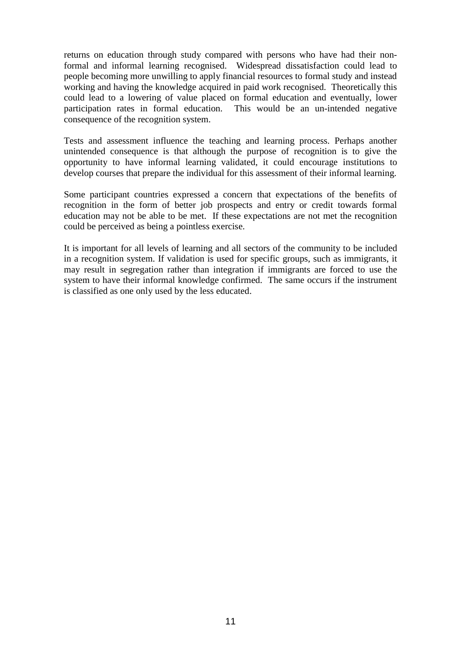returns on education through study compared with persons who have had their nonformal and informal learning recognised. Widespread dissatisfaction could lead to people becoming more unwilling to apply financial resources to formal study and instead working and having the knowledge acquired in paid work recognised. Theoretically this could lead to a lowering of value placed on formal education and eventually, lower participation rates in formal education. This would be an un-intended negative consequence of the recognition system.

Tests and assessment influence the teaching and learning process. Perhaps another unintended consequence is that although the purpose of recognition is to give the opportunity to have informal learning validated, it could encourage institutions to develop courses that prepare the individual for this assessment of their informal learning.

Some participant countries expressed a concern that expectations of the benefits of recognition in the form of better job prospects and entry or credit towards formal education may not be able to be met. If these expectations are not met the recognition could be perceived as being a pointless exercise.

It is important for all levels of learning and all sectors of the community to be included in a recognition system. If validation is used for specific groups, such as immigrants, it may result in segregation rather than integration if immigrants are forced to use the system to have their informal knowledge confirmed. The same occurs if the instrument is classified as one only used by the less educated.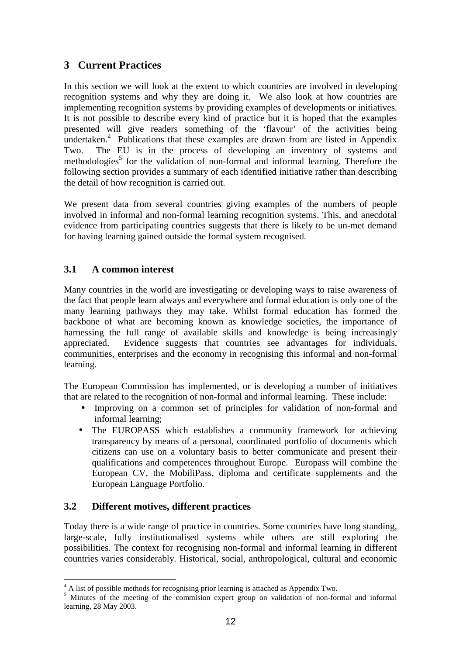# **3 Current Practices**

In this section we will look at the extent to which countries are involved in developing recognition systems and why they are doing it. We also look at how countries are implementing recognition systems by providing examples of developments or initiatives. It is not possible to describe every kind of practice but it is hoped that the examples presented will give readers something of the 'flavour' of the activities being undertaken.<sup>4</sup> Publications that these examples are drawn from are listed in Appendix Two. The EU is in the process of developing an inventory of systems and methodologies<sup>5</sup> for the validation of non-formal and informal learning. Therefore the following section provides a summary of each identified initiative rather than describing the detail of how recognition is carried out.

We present data from several countries giving examples of the numbers of people involved in informal and non-formal learning recognition systems. This, and anecdotal evidence from participating countries suggests that there is likely to be un-met demand for having learning gained outside the formal system recognised.

# **3.1 A common interest**

Many countries in the world are investigating or developing ways to raise awareness of the fact that people learn always and everywhere and formal education is only one of the many learning pathways they may take. Whilst formal education has formed the backbone of what are becoming known as knowledge societies, the importance of harnessing the full range of available skills and knowledge is being increasingly appreciated. Evidence suggests that countries see advantages for individuals, communities, enterprises and the economy in recognising this informal and non-formal learning.

The European Commission has implemented, or is developing a number of initiatives that are related to the recognition of non-formal and informal learning. These include:

- Improving on a common set of principles for validation of non-formal and informal learning;
- The EUROPASS which establishes a community framework for achieving transparency by means of a personal, coordinated portfolio of documents which citizens can use on a voluntary basis to better communicate and present their qualifications and competences throughout Europe. Europass will combine the European CV, the MobiliPass, diploma and certificate supplements and the European Language Portfolio.

# **3.2 Different motives, different practices**

Today there is a wide range of practice in countries. Some countries have long standing, large-scale, fully institutionalised systems while others are still exploring the possibilities. The context for recognising non-formal and informal learning in different countries varies considerably. Historical, social, anthropological, cultural and economic

 4 A list of possible methods for recognising prior learning is attached as Appendix Two.

<sup>&</sup>lt;sup>5</sup> Minutes of the meeting of the commision expert group on validation of non-formal and informal learning, 28 May 2003.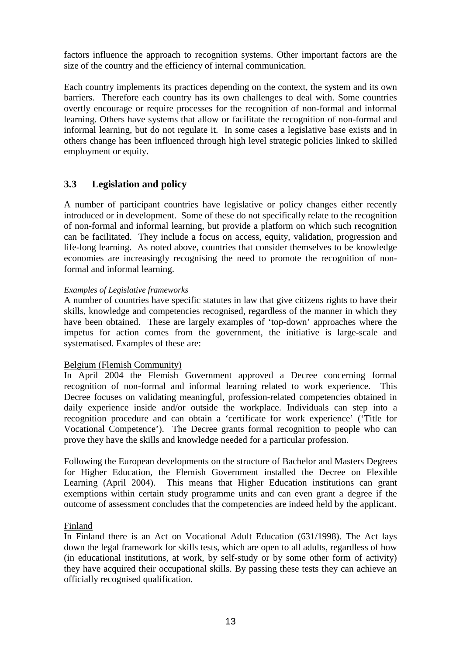factors influence the approach to recognition systems. Other important factors are the size of the country and the efficiency of internal communication.

Each country implements its practices depending on the context, the system and its own barriers. Therefore each country has its own challenges to deal with. Some countries overtly encourage or require processes for the recognition of non-formal and informal learning. Others have systems that allow or facilitate the recognition of non-formal and informal learning, but do not regulate it. In some cases a legislative base exists and in others change has been influenced through high level strategic policies linked to skilled employment or equity.

# **3.3 Legislation and policy**

A number of participant countries have legislative or policy changes either recently introduced or in development. Some of these do not specifically relate to the recognition of non-formal and informal learning, but provide a platform on which such recognition can be facilitated. They include a focus on access, equity, validation, progression and life-long learning. As noted above, countries that consider themselves to be knowledge economies are increasingly recognising the need to promote the recognition of nonformal and informal learning.

#### *Examples of Legislative frameworks*

A number of countries have specific statutes in law that give citizens rights to have their skills, knowledge and competencies recognised, regardless of the manner in which they have been obtained. These are largely examples of 'top-down' approaches where the impetus for action comes from the government, the initiative is large-scale and systematised. Examples of these are:

#### Belgium (Flemish Community)

In April 2004 the Flemish Government approved a Decree concerning formal recognition of non-formal and informal learning related to work experience. This Decree focuses on validating meaningful, profession-related competencies obtained in daily experience inside and/or outside the workplace. Individuals can step into a recognition procedure and can obtain a 'certificate for work experience' ('Title for Vocational Competence'). The Decree grants formal recognition to people who can prove they have the skills and knowledge needed for a particular profession.

Following the European developments on the structure of Bachelor and Masters Degrees for Higher Education, the Flemish Government installed the Decree on Flexible Learning (April 2004). This means that Higher Education institutions can grant exemptions within certain study programme units and can even grant a degree if the outcome of assessment concludes that the competencies are indeed held by the applicant.

#### Finland

In Finland there is an Act on Vocational Adult Education (631/1998). The Act lays down the legal framework for skills tests, which are open to all adults, regardless of how (in educational institutions, at work, by self-study or by some other form of activity) they have acquired their occupational skills. By passing these tests they can achieve an officially recognised qualification.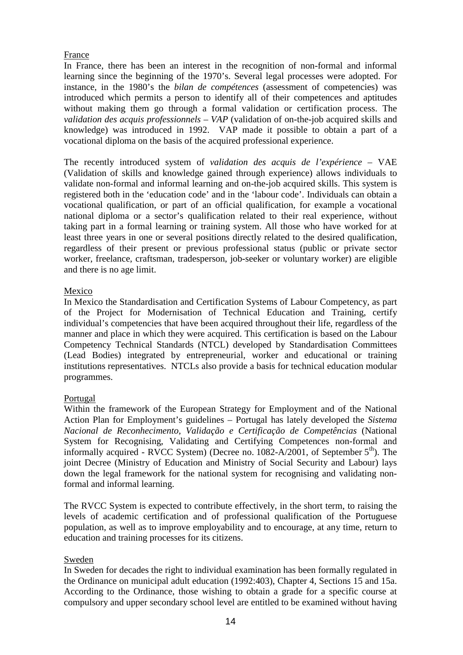#### France

In France, there has been an interest in the recognition of non-formal and informal learning since the beginning of the 1970's. Several legal processes were adopted. For instance, in the 1980's the *bilan de compétences* (assessment of competencies) was introduced which permits a person to identify all of their competences and aptitudes without making them go through a formal validation or certification process. The *validation des acquis professionnels – VAP* (validation of on-the-job acquired skills and knowledge) was introduced in 1992. VAP made it possible to obtain a part of a vocational diploma on the basis of the acquired professional experience.

The recently introduced system of *validation des acquis de l'expérience* – VAE (Validation of skills and knowledge gained through experience) allows individuals to validate non-formal and informal learning and on-the-job acquired skills. This system is registered both in the 'education code' and in the 'labour code'. Individuals can obtain a vocational qualification, or part of an official qualification, for example a vocational national diploma or a sector's qualification related to their real experience, without taking part in a formal learning or training system. All those who have worked for at least three years in one or several positions directly related to the desired qualification, regardless of their present or previous professional status (public or private sector worker, freelance, craftsman, tradesperson, job-seeker or voluntary worker) are eligible and there is no age limit.

#### Mexico

In Mexico the Standardisation and Certification Systems of Labour Competency, as part of the Project for Modernisation of Technical Education and Training, certify individual's competencies that have been acquired throughout their life, regardless of the manner and place in which they were acquired. This certification is based on the Labour Competency Technical Standards (NTCL) developed by Standardisation Committees (Lead Bodies) integrated by entrepreneurial, worker and educational or training institutions representatives. NTCLs also provide a basis for technical education modular programmes.

#### Portugal

Within the framework of the European Strategy for Employment and of the National Action Plan for Employment's guidelines – Portugal has lately developed the *Sistema Nacional de Reconhecimento, Validação e Certificação de Competências* (National System for Recognising, Validating and Certifying Competences non-formal and informally acquired - RVCC System) (Decree no.  $1082-A/2001$ , of September  $5<sup>th</sup>$ ). The joint Decree (Ministry of Education and Ministry of Social Security and Labour) lays down the legal framework for the national system for recognising and validating nonformal and informal learning.

The RVCC System is expected to contribute effectively, in the short term, to raising the levels of academic certification and of professional qualification of the Portuguese population, as well as to improve employability and to encourage, at any time, return to education and training processes for its citizens.

#### Sweden

In Sweden for decades the right to individual examination has been formally regulated in the Ordinance on municipal adult education (1992:403), Chapter 4, Sections 15 and 15a. According to the Ordinance, those wishing to obtain a grade for a specific course at compulsory and upper secondary school level are entitled to be examined without having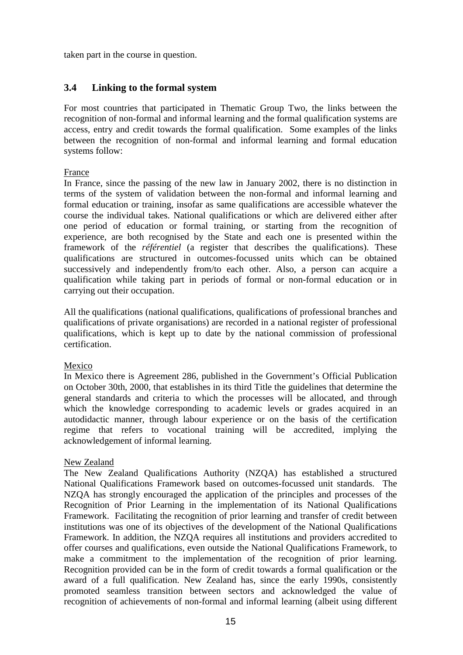taken part in the course in question.

### **3.4 Linking to the formal system**

For most countries that participated in Thematic Group Two, the links between the recognition of non-formal and informal learning and the formal qualification systems are access, entry and credit towards the formal qualification. Some examples of the links between the recognition of non-formal and informal learning and formal education systems follow:

#### France

In France, since the passing of the new law in January 2002, there is no distinction in terms of the system of validation between the non-formal and informal learning and formal education or training, insofar as same qualifications are accessible whatever the course the individual takes. National qualifications or which are delivered either after one period of education or formal training, or starting from the recognition of experience, are both recognised by the State and each one is presented within the framework of the *référentiel* (a register that describes the qualifications). These qualifications are structured in outcomes-focussed units which can be obtained successively and independently from/to each other. Also, a person can acquire a qualification while taking part in periods of formal or non-formal education or in carrying out their occupation.

All the qualifications (national qualifications, qualifications of professional branches and qualifications of private organisations) are recorded in a national register of professional qualifications, which is kept up to date by the national commission of professional certification.

#### Mexico

In Mexico there is Agreement 286, published in the Government's Official Publication on October 30th, 2000, that establishes in its third Title the guidelines that determine the general standards and criteria to which the processes will be allocated, and through which the knowledge corresponding to academic levels or grades acquired in an autodidactic manner, through labour experience or on the basis of the certification regime that refers to vocational training will be accredited, implying the acknowledgement of informal learning.

#### New Zealand

The New Zealand Qualifications Authority (NZQA) has established a structured National Qualifications Framework based on outcomes-focussed unit standards. The NZQA has strongly encouraged the application of the principles and processes of the Recognition of Prior Learning in the implementation of its National Qualifications Framework. Facilitating the recognition of prior learning and transfer of credit between institutions was one of its objectives of the development of the National Qualifications Framework. In addition, the NZQA requires all institutions and providers accredited to offer courses and qualifications, even outside the National Qualifications Framework, to make a commitment to the implementation of the recognition of prior learning. Recognition provided can be in the form of credit towards a formal qualification or the award of a full qualification. New Zealand has, since the early 1990s, consistently promoted seamless transition between sectors and acknowledged the value of recognition of achievements of non-formal and informal learning (albeit using different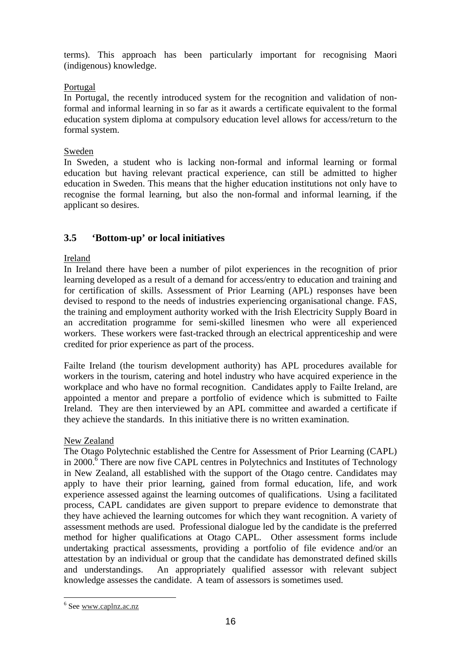terms). This approach has been particularly important for recognising Maori (indigenous) knowledge.

#### Portugal

In Portugal, the recently introduced system for the recognition and validation of nonformal and informal learning in so far as it awards a certificate equivalent to the formal education system diploma at compulsory education level allows for access/return to the formal system.

#### Sweden

In Sweden, a student who is lacking non-formal and informal learning or formal education but having relevant practical experience, can still be admitted to higher education in Sweden. This means that the higher education institutions not only have to recognise the formal learning, but also the non-formal and informal learning, if the applicant so desires.

### **3.5 'Bottom-up' or local initiatives**

#### Ireland

In Ireland there have been a number of pilot experiences in the recognition of prior learning developed as a result of a demand for access/entry to education and training and for certification of skills. Assessment of Prior Learning (APL) responses have been devised to respond to the needs of industries experiencing organisational change. FAS, the training and employment authority worked with the Irish Electricity Supply Board in an accreditation programme for semi-skilled linesmen who were all experienced workers. These workers were fast-tracked through an electrical apprenticeship and were credited for prior experience as part of the process.

Failte Ireland (the tourism development authority) has APL procedures available for workers in the tourism, catering and hotel industry who have acquired experience in the workplace and who have no formal recognition. Candidates apply to Failte Ireland, are appointed a mentor and prepare a portfolio of evidence which is submitted to Failte Ireland. They are then interviewed by an APL committee and awarded a certificate if they achieve the standards. In this initiative there is no written examination.

#### New Zealand

The Otago Polytechnic established the Centre for Assessment of Prior Learning (CAPL) in 2000.<sup> $\overline{6}$ </sup> There are now five CAPL centres in Polytechnics and Institutes of Technology in New Zealand, all established with the support of the Otago centre. Candidates may apply to have their prior learning, gained from formal education, life, and work experience assessed against the learning outcomes of qualifications. Using a facilitated process, CAPL candidates are given support to prepare evidence to demonstrate that they have achieved the learning outcomes for which they want recognition. A variety of assessment methods are used. Professional dialogue led by the candidate is the preferred method for higher qualifications at Otago CAPL. Other assessment forms include undertaking practical assessments, providing a portfolio of file evidence and/or an attestation by an individual or group that the candidate has demonstrated defined skills and understandings. An appropriately qualified assessor with relevant subject knowledge assesses the candidate. A team of assessors is sometimes used.

l

<sup>&</sup>lt;sup>6</sup> See www.caplnz.ac.nz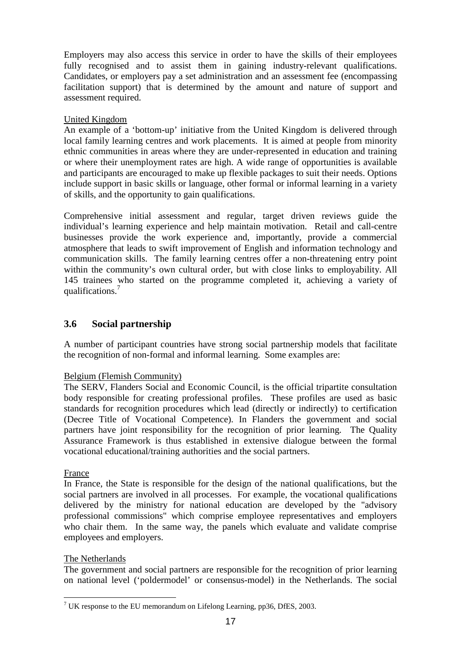Employers may also access this service in order to have the skills of their employees fully recognised and to assist them in gaining industry-relevant qualifications. Candidates, or employers pay a set administration and an assessment fee (encompassing facilitation support) that is determined by the amount and nature of support and assessment required.

#### United Kingdom

An example of a 'bottom-up' initiative from the United Kingdom is delivered through local family learning centres and work placements. It is aimed at people from minority ethnic communities in areas where they are under-represented in education and training or where their unemployment rates are high. A wide range of opportunities is available and participants are encouraged to make up flexible packages to suit their needs. Options include support in basic skills or language, other formal or informal learning in a variety of skills, and the opportunity to gain qualifications.

Comprehensive initial assessment and regular, target driven reviews guide the individual's learning experience and help maintain motivation. Retail and call-centre businesses provide the work experience and, importantly, provide a commercial atmosphere that leads to swift improvement of English and information technology and communication skills. The family learning centres offer a non-threatening entry point within the community's own cultural order, but with close links to employability. All 145 trainees who started on the programme completed it, achieving a variety of qualifications.<sup>7</sup>

### **3.6 Social partnership**

A number of participant countries have strong social partnership models that facilitate the recognition of non-formal and informal learning. Some examples are:

#### Belgium (Flemish Community)

The SERV, Flanders Social and Economic Council, is the official tripartite consultation body responsible for creating professional profiles. These profiles are used as basic standards for recognition procedures which lead (directly or indirectly) to certification (Decree Title of Vocational Competence). In Flanders the government and social partners have joint responsibility for the recognition of prior learning. The Quality Assurance Framework is thus established in extensive dialogue between the formal vocational educational/training authorities and the social partners.

#### France

l

In France, the State is responsible for the design of the national qualifications, but the social partners are involved in all processes. For example, the vocational qualifications delivered by the ministry for national education are developed by the "advisory professional commissions" which comprise employee representatives and employers who chair them. In the same way, the panels which evaluate and validate comprise employees and employers.

#### The Netherlands

The government and social partners are responsible for the recognition of prior learning on national level ('poldermodel' or consensus-model) in the Netherlands. The social

<sup>&</sup>lt;sup>7</sup> UK response to the EU memorandum on Lifelong Learning, pp36, DfES, 2003.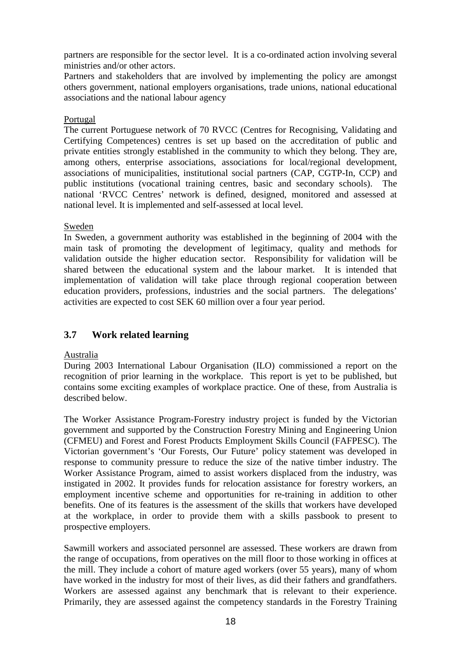partners are responsible for the sector level. It is a co-ordinated action involving several ministries and/or other actors.

Partners and stakeholders that are involved by implementing the policy are amongst others government, national employers organisations, trade unions, national educational associations and the national labour agency

#### Portugal

The current Portuguese network of 70 RVCC (Centres for Recognising, Validating and Certifying Competences) centres is set up based on the accreditation of public and private entities strongly established in the community to which they belong. They are, among others, enterprise associations, associations for local/regional development, associations of municipalities, institutional social partners (CAP, CGTP-In, CCP) and public institutions (vocational training centres, basic and secondary schools). The national 'RVCC Centres' network is defined, designed, monitored and assessed at national level. It is implemented and self-assessed at local level.

#### Sweden

In Sweden, a government authority was established in the beginning of 2004 with the main task of promoting the development of legitimacy, quality and methods for validation outside the higher education sector. Responsibility for validation will be shared between the educational system and the labour market. It is intended that implementation of validation will take place through regional cooperation between education providers, professions, industries and the social partners. The delegations' activities are expected to cost SEK 60 million over a four year period.

# **3.7 Work related learning**

#### Australia

During 2003 International Labour Organisation (ILO) commissioned a report on the recognition of prior learning in the workplace. This report is yet to be published, but contains some exciting examples of workplace practice. One of these, from Australia is described below.

The Worker Assistance Program-Forestry industry project is funded by the Victorian government and supported by the Construction Forestry Mining and Engineering Union (CFMEU) and Forest and Forest Products Employment Skills Council (FAFPESC). The Victorian government's 'Our Forests, Our Future' policy statement was developed in response to community pressure to reduce the size of the native timber industry. The Worker Assistance Program, aimed to assist workers displaced from the industry, was instigated in 2002. It provides funds for relocation assistance for forestry workers, an employment incentive scheme and opportunities for re-training in addition to other benefits. One of its features is the assessment of the skills that workers have developed at the workplace, in order to provide them with a skills passbook to present to prospective employers.

Sawmill workers and associated personnel are assessed. These workers are drawn from the range of occupations, from operatives on the mill floor to those working in offices at the mill. They include a cohort of mature aged workers (over 55 years), many of whom have worked in the industry for most of their lives, as did their fathers and grandfathers. Workers are assessed against any benchmark that is relevant to their experience. Primarily, they are assessed against the competency standards in the Forestry Training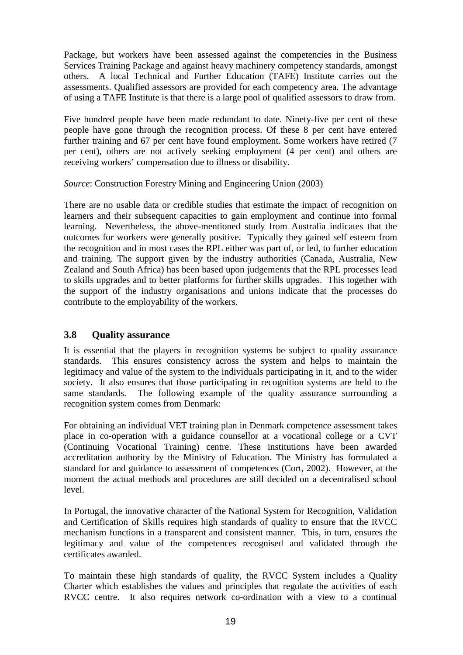Package, but workers have been assessed against the competencies in the Business Services Training Package and against heavy machinery competency standards, amongst others. A local Technical and Further Education (TAFE) Institute carries out the assessments. Qualified assessors are provided for each competency area. The advantage of using a TAFE Institute is that there is a large pool of qualified assessors to draw from.

Five hundred people have been made redundant to date. Ninety-five per cent of these people have gone through the recognition process. Of these 8 per cent have entered further training and 67 per cent have found employment. Some workers have retired (7 per cent), others are not actively seeking employment (4 per cent) and others are receiving workers' compensation due to illness or disability.

*Source*: Construction Forestry Mining and Engineering Union (2003)

There are no usable data or credible studies that estimate the impact of recognition on learners and their subsequent capacities to gain employment and continue into formal learning. Nevertheless, the above-mentioned study from Australia indicates that the outcomes for workers were generally positive. Typically they gained self esteem from the recognition and in most cases the RPL either was part of, or led, to further education and training. The support given by the industry authorities (Canada, Australia, New Zealand and South Africa) has been based upon judgements that the RPL processes lead to skills upgrades and to better platforms for further skills upgrades. This together with the support of the industry organisations and unions indicate that the processes do contribute to the employability of the workers.

# **3.8 Quality assurance**

It is essential that the players in recognition systems be subject to quality assurance standards. This ensures consistency across the system and helps to maintain the legitimacy and value of the system to the individuals participating in it, and to the wider society. It also ensures that those participating in recognition systems are held to the same standards. The following example of the quality assurance surrounding a recognition system comes from Denmark:

For obtaining an individual VET training plan in Denmark competence assessment takes place in co-operation with a guidance counsellor at a vocational college or a CVT (Continuing Vocational Training) centre. These institutions have been awarded accreditation authority by the Ministry of Education. The Ministry has formulated a standard for and guidance to assessment of competences (Cort, 2002). However, at the moment the actual methods and procedures are still decided on a decentralised school level.

In Portugal, the innovative character of the National System for Recognition, Validation and Certification of Skills requires high standards of quality to ensure that the RVCC mechanism functions in a transparent and consistent manner. This, in turn, ensures the legitimacy and value of the competences recognised and validated through the certificates awarded.

To maintain these high standards of quality, the RVCC System includes a Quality Charter which establishes the values and principles that regulate the activities of each RVCC centre. It also requires network co-ordination with a view to a continual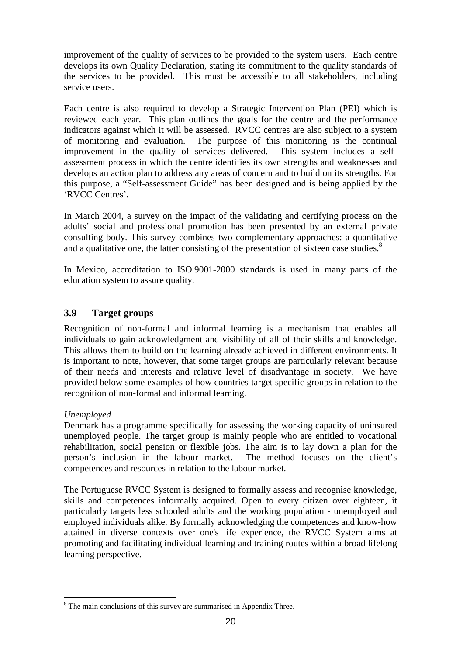improvement of the quality of services to be provided to the system users. Each centre develops its own Quality Declaration, stating its commitment to the quality standards of the services to be provided. This must be accessible to all stakeholders, including service users.

Each centre is also required to develop a Strategic Intervention Plan (PEI) which is reviewed each year. This plan outlines the goals for the centre and the performance indicators against which it will be assessed. RVCC centres are also subject to a system of monitoring and evaluation. The purpose of this monitoring is the continual improvement in the quality of services delivered. This system includes a selfassessment process in which the centre identifies its own strengths and weaknesses and develops an action plan to address any areas of concern and to build on its strengths. For this purpose, a "Self-assessment Guide" has been designed and is being applied by the 'RVCC Centres'.

In March 2004, a survey on the impact of the validating and certifying process on the adults' social and professional promotion has been presented by an external private consulting body. This survey combines two complementary approaches: a quantitative and a qualitative one, the latter consisting of the presentation of sixteen case studies.<sup>8</sup>

In Mexico, accreditation to ISO 9001-2000 standards is used in many parts of the education system to assure quality.

### **3.9 Target groups**

Recognition of non-formal and informal learning is a mechanism that enables all individuals to gain acknowledgment and visibility of all of their skills and knowledge. This allows them to build on the learning already achieved in different environments. It is important to note, however, that some target groups are particularly relevant because of their needs and interests and relative level of disadvantage in society. We have provided below some examples of how countries target specific groups in relation to the recognition of non-formal and informal learning.

#### *Unemployed*

l

Denmark has a programme specifically for assessing the working capacity of uninsured unemployed people. The target group is mainly people who are entitled to vocational rehabilitation, social pension or flexible jobs. The aim is to lay down a plan for the person's inclusion in the labour market. The method focuses on the client's competences and resources in relation to the labour market.

The Portuguese RVCC System is designed to formally assess and recognise knowledge, skills and competences informally acquired. Open to every citizen over eighteen, it particularly targets less schooled adults and the working population - unemployed and employed individuals alike. By formally acknowledging the competences and know-how attained in diverse contexts over one's life experience, the RVCC System aims at promoting and facilitating individual learning and training routes within a broad lifelong learning perspective.

<sup>&</sup>lt;sup>8</sup> The main conclusions of this survey are summarised in Appendix Three.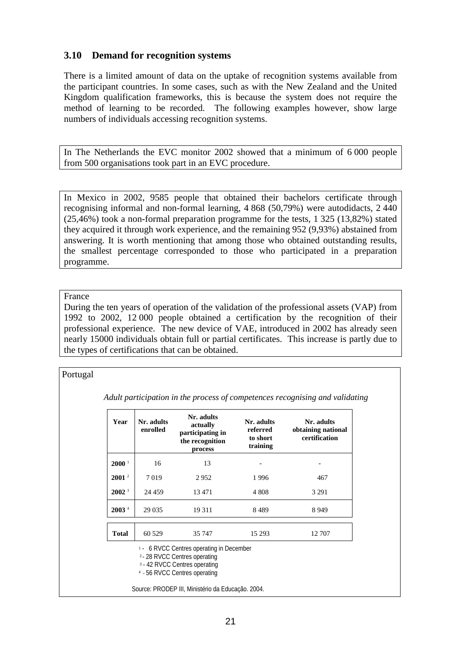### **3.10 Demand for recognition systems**

There is a limited amount of data on the uptake of recognition systems available from the participant countries. In some cases, such as with the New Zealand and the United Kingdom qualification frameworks, this is because the system does not require the method of learning to be recorded. The following examples however, show large numbers of individuals accessing recognition systems.

In The Netherlands the EVC monitor 2002 showed that a minimum of 6 000 people from 500 organisations took part in an EVC procedure.

In Mexico in 2002, 9585 people that obtained their bachelors certificate through recognising informal and non-formal learning, 4 868 (50,79%) were autodidacts, 2 440 (25,46%) took a non-formal preparation programme for the tests, 1 325 (13,82%) stated they acquired it through work experience, and the remaining 952 (9,93%) abstained from answering. It is worth mentioning that among those who obtained outstanding results, the smallest percentage corresponded to those who participated in a preparation programme.

#### France

During the ten years of operation of the validation of the professional assets (VAP) from 1992 to 2002, 12 000 people obtained a certification by the recognition of their professional experience. The new device of VAE, introduced in 2002 has already seen nearly 15000 individuals obtain full or partial certificates. This increase is partly due to the types of certifications that can be obtained.

#### Portugal

*Adult participation in the process of competences recognising and validating* 

| Year                 | Nr. adults<br>enrolled                                                                                                                                       | Nr. adults<br>actually<br>participating in<br>the recognition<br>process | Nr. adults<br>referred<br>to short<br>training | Nr. adults<br>obtaining national<br>certification |  |  |
|----------------------|--------------------------------------------------------------------------------------------------------------------------------------------------------------|--------------------------------------------------------------------------|------------------------------------------------|---------------------------------------------------|--|--|
| $2000^{\frac{1}{2}}$ | 16                                                                                                                                                           | 13                                                                       |                                                |                                                   |  |  |
| $2001^2$             | 7019                                                                                                                                                         | 2952                                                                     | 1996                                           | 467                                               |  |  |
| 2002 <sup>3</sup>    | 24 4 5 9                                                                                                                                                     | 13 471                                                                   | 4 808                                          | 3 2 9 1                                           |  |  |
| 2003 <sup>4</sup>    | 29 0 35                                                                                                                                                      | 19 3 11                                                                  | 8489                                           | 8949                                              |  |  |
| <b>Total</b>         | 60 529                                                                                                                                                       | 35 747                                                                   | 15 29 3                                        | 12 707                                            |  |  |
|                      | <sup>1</sup> - 6 RVCC Centres operating in December<br>2 - 28 RVCC Centres operating<br>3 - 42 RVCC Centres operating<br>$\Lambda$ EL DUCC Contros operating |                                                                          |                                                |                                                   |  |  |

4 - 56 RVCC Centres operating

Source: PRODEP III, Ministério da Educação. 2004.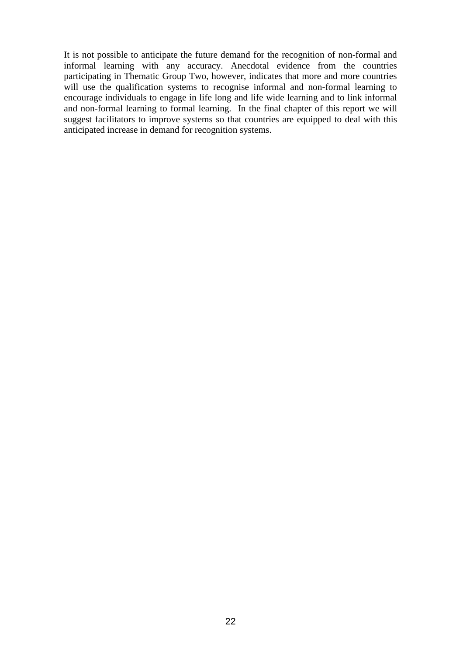It is not possible to anticipate the future demand for the recognition of non-formal and informal learning with any accuracy. Anecdotal evidence from the countries participating in Thematic Group Two, however, indicates that more and more countries will use the qualification systems to recognise informal and non-formal learning to encourage individuals to engage in life long and life wide learning and to link informal and non-formal learning to formal learning. In the final chapter of this report we will suggest facilitators to improve systems so that countries are equipped to deal with this anticipated increase in demand for recognition systems.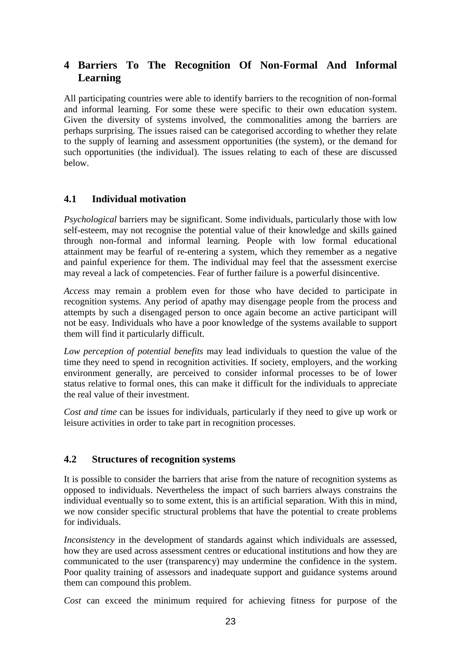# **4 Barriers To The Recognition Of Non-Formal And Informal Learning**

All participating countries were able to identify barriers to the recognition of non-formal and informal learning. For some these were specific to their own education system. Given the diversity of systems involved, the commonalities among the barriers are perhaps surprising. The issues raised can be categorised according to whether they relate to the supply of learning and assessment opportunities (the system), or the demand for such opportunities (the individual). The issues relating to each of these are discussed below.

# **4.1 Individual motivation**

*Psychological* barriers may be significant. Some individuals, particularly those with low self-esteem, may not recognise the potential value of their knowledge and skills gained through non-formal and informal learning. People with low formal educational attainment may be fearful of re-entering a system, which they remember as a negative and painful experience for them. The individual may feel that the assessment exercise may reveal a lack of competencies. Fear of further failure is a powerful disincentive.

*Access* may remain a problem even for those who have decided to participate in recognition systems. Any period of apathy may disengage people from the process and attempts by such a disengaged person to once again become an active participant will not be easy. Individuals who have a poor knowledge of the systems available to support them will find it particularly difficult.

*Low perception of potential benefits* may lead individuals to question the value of the time they need to spend in recognition activities. If society, employers, and the working environment generally, are perceived to consider informal processes to be of lower status relative to formal ones, this can make it difficult for the individuals to appreciate the real value of their investment.

*Cost and time* can be issues for individuals, particularly if they need to give up work or leisure activities in order to take part in recognition processes.

# **4.2 Structures of recognition systems**

It is possible to consider the barriers that arise from the nature of recognition systems as opposed to individuals. Nevertheless the impact of such barriers always constrains the individual eventually so to some extent, this is an artificial separation. With this in mind, we now consider specific structural problems that have the potential to create problems for individuals.

*Inconsistency* in the development of standards against which individuals are assessed, how they are used across assessment centres or educational institutions and how they are communicated to the user (transparency) may undermine the confidence in the system. Poor quality training of assessors and inadequate support and guidance systems around them can compound this problem.

*Cost* can exceed the minimum required for achieving fitness for purpose of the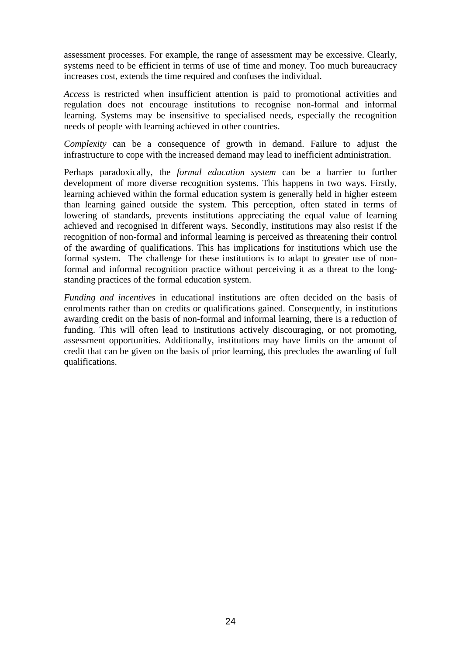assessment processes. For example, the range of assessment may be excessive. Clearly, systems need to be efficient in terms of use of time and money. Too much bureaucracy increases cost, extends the time required and confuses the individual.

*Access* is restricted when insufficient attention is paid to promotional activities and regulation does not encourage institutions to recognise non-formal and informal learning. Systems may be insensitive to specialised needs, especially the recognition needs of people with learning achieved in other countries.

*Complexity* can be a consequence of growth in demand. Failure to adjust the infrastructure to cope with the increased demand may lead to inefficient administration.

Perhaps paradoxically, the *formal education system* can be a barrier to further development of more diverse recognition systems. This happens in two ways. Firstly, learning achieved within the formal education system is generally held in higher esteem than learning gained outside the system. This perception, often stated in terms of lowering of standards, prevents institutions appreciating the equal value of learning achieved and recognised in different ways. Secondly, institutions may also resist if the recognition of non-formal and informal learning is perceived as threatening their control of the awarding of qualifications. This has implications for institutions which use the formal system. The challenge for these institutions is to adapt to greater use of nonformal and informal recognition practice without perceiving it as a threat to the longstanding practices of the formal education system.

*Funding and incentives* in educational institutions are often decided on the basis of enrolments rather than on credits or qualifications gained. Consequently, in institutions awarding credit on the basis of non-formal and informal learning, there is a reduction of funding. This will often lead to institutions actively discouraging, or not promoting, assessment opportunities. Additionally, institutions may have limits on the amount of credit that can be given on the basis of prior learning, this precludes the awarding of full qualifications.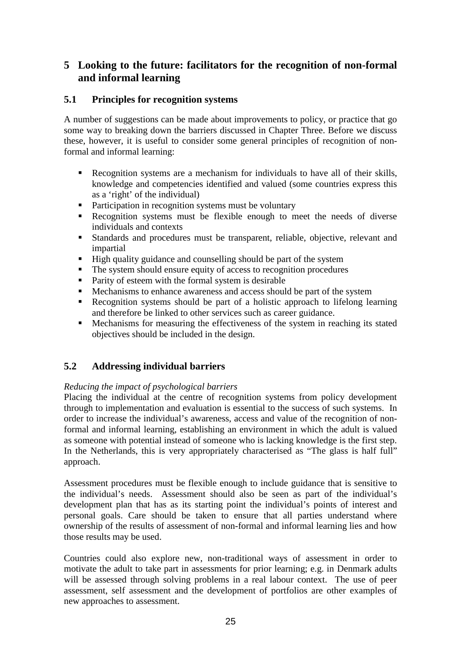# **5 Looking to the future: facilitators for the recognition of non-formal and informal learning**

# **5.1 Principles for recognition systems**

A number of suggestions can be made about improvements to policy, or practice that go some way to breaking down the barriers discussed in Chapter Three. Before we discuss these, however, it is useful to consider some general principles of recognition of nonformal and informal learning:

- Recognition systems are a mechanism for individuals to have all of their skills, knowledge and competencies identified and valued (some countries express this as a 'right' of the individual)
- Participation in recognition systems must be voluntary
- Recognition systems must be flexible enough to meet the needs of diverse individuals and contexts
- Standards and procedures must be transparent, reliable, objective, relevant and impartial
- High quality guidance and counselling should be part of the system
- The system should ensure equity of access to recognition procedures
- **Parity of esteem with the formal system is desirable**
- Mechanisms to enhance awareness and access should be part of the system
- Recognition systems should be part of a holistic approach to lifelong learning and therefore be linked to other services such as career guidance.
- Mechanisms for measuring the effectiveness of the system in reaching its stated objectives should be included in the design.

# **5.2 Addressing individual barriers**

# *Reducing the impact of psychological barriers*

Placing the individual at the centre of recognition systems from policy development through to implementation and evaluation is essential to the success of such systems. In order to increase the individual's awareness, access and value of the recognition of nonformal and informal learning, establishing an environment in which the adult is valued as someone with potential instead of someone who is lacking knowledge is the first step. In the Netherlands, this is very appropriately characterised as "The glass is half full" approach.

Assessment procedures must be flexible enough to include guidance that is sensitive to the individual's needs. Assessment should also be seen as part of the individual's development plan that has as its starting point the individual's points of interest and personal goals. Care should be taken to ensure that all parties understand where ownership of the results of assessment of non-formal and informal learning lies and how those results may be used.

Countries could also explore new, non-traditional ways of assessment in order to motivate the adult to take part in assessments for prior learning; e.g. in Denmark adults will be assessed through solving problems in a real labour context. The use of peer assessment, self assessment and the development of portfolios are other examples of new approaches to assessment.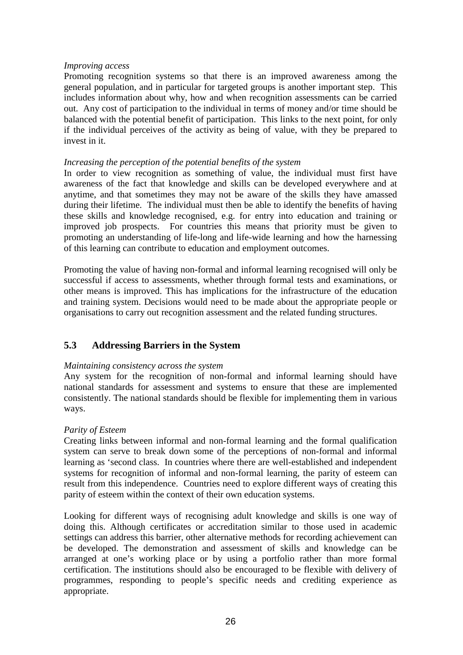#### *Improving access*

Promoting recognition systems so that there is an improved awareness among the general population, and in particular for targeted groups is another important step. This includes information about why, how and when recognition assessments can be carried out. Any cost of participation to the individual in terms of money and/or time should be balanced with the potential benefit of participation. This links to the next point, for only if the individual perceives of the activity as being of value, with they be prepared to invest in it.

#### *Increasing the perception of the potential benefits of the system*

In order to view recognition as something of value, the individual must first have awareness of the fact that knowledge and skills can be developed everywhere and at anytime, and that sometimes they may not be aware of the skills they have amassed during their lifetime. The individual must then be able to identify the benefits of having these skills and knowledge recognised, e.g. for entry into education and training or improved job prospects. For countries this means that priority must be given to promoting an understanding of life-long and life-wide learning and how the harnessing of this learning can contribute to education and employment outcomes.

Promoting the value of having non-formal and informal learning recognised will only be successful if access to assessments, whether through formal tests and examinations, or other means is improved. This has implications for the infrastructure of the education and training system. Decisions would need to be made about the appropriate people or organisations to carry out recognition assessment and the related funding structures.

# **5.3 Addressing Barriers in the System**

#### *Maintaining consistency across the system*

Any system for the recognition of non-formal and informal learning should have national standards for assessment and systems to ensure that these are implemented consistently. The national standards should be flexible for implementing them in various ways.

#### *Parity of Esteem*

Creating links between informal and non-formal learning and the formal qualification system can serve to break down some of the perceptions of non-formal and informal learning as 'second class. In countries where there are well-established and independent systems for recognition of informal and non-formal learning, the parity of esteem can result from this independence. Countries need to explore different ways of creating this parity of esteem within the context of their own education systems.

Looking for different ways of recognising adult knowledge and skills is one way of doing this. Although certificates or accreditation similar to those used in academic settings can address this barrier, other alternative methods for recording achievement can be developed. The demonstration and assessment of skills and knowledge can be arranged at one's working place or by using a portfolio rather than more formal certification. The institutions should also be encouraged to be flexible with delivery of programmes, responding to people's specific needs and crediting experience as appropriate.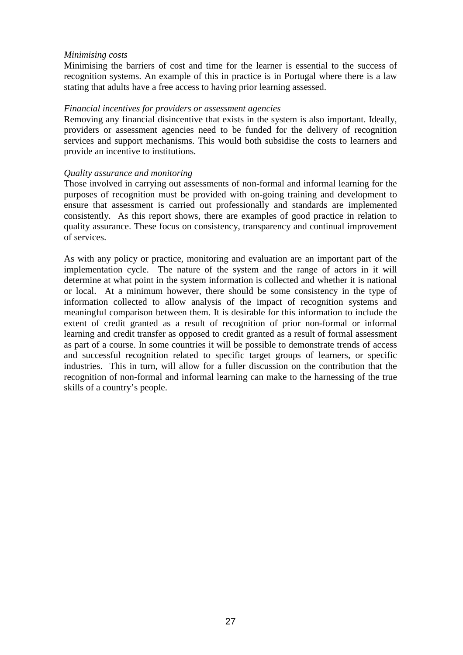#### *Minimising costs*

Minimising the barriers of cost and time for the learner is essential to the success of recognition systems. An example of this in practice is in Portugal where there is a law stating that adults have a free access to having prior learning assessed.

#### *Financial incentives for providers or assessment agencies*

Removing any financial disincentive that exists in the system is also important. Ideally, providers or assessment agencies need to be funded for the delivery of recognition services and support mechanisms. This would both subsidise the costs to learners and provide an incentive to institutions.

#### *Quality assurance and monitoring*

Those involved in carrying out assessments of non-formal and informal learning for the purposes of recognition must be provided with on-going training and development to ensure that assessment is carried out professionally and standards are implemented consistently. As this report shows, there are examples of good practice in relation to quality assurance. These focus on consistency, transparency and continual improvement of services.

As with any policy or practice, monitoring and evaluation are an important part of the implementation cycle. The nature of the system and the range of actors in it will determine at what point in the system information is collected and whether it is national or local. At a minimum however, there should be some consistency in the type of information collected to allow analysis of the impact of recognition systems and meaningful comparison between them. It is desirable for this information to include the extent of credit granted as a result of recognition of prior non-formal or informal learning and credit transfer as opposed to credit granted as a result of formal assessment as part of a course. In some countries it will be possible to demonstrate trends of access and successful recognition related to specific target groups of learners, or specific industries. This in turn, will allow for a fuller discussion on the contribution that the recognition of non-formal and informal learning can make to the harnessing of the true skills of a country's people.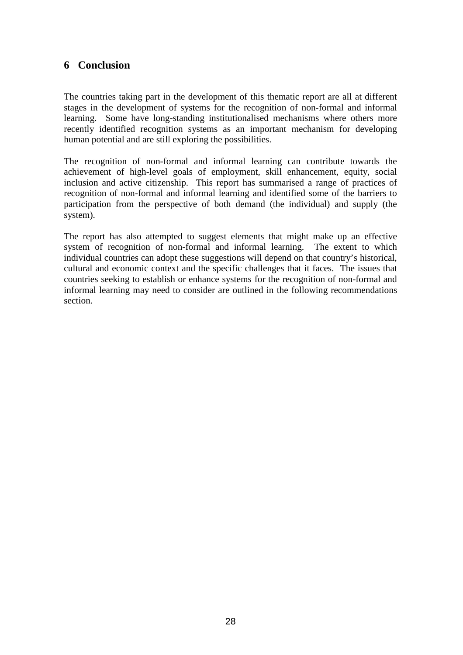# **6 Conclusion**

The countries taking part in the development of this thematic report are all at different stages in the development of systems for the recognition of non-formal and informal learning. Some have long-standing institutionalised mechanisms where others more recently identified recognition systems as an important mechanism for developing human potential and are still exploring the possibilities.

The recognition of non-formal and informal learning can contribute towards the achievement of high-level goals of employment, skill enhancement, equity, social inclusion and active citizenship. This report has summarised a range of practices of recognition of non-formal and informal learning and identified some of the barriers to participation from the perspective of both demand (the individual) and supply (the system).

The report has also attempted to suggest elements that might make up an effective system of recognition of non-formal and informal learning. The extent to which individual countries can adopt these suggestions will depend on that country's historical, cultural and economic context and the specific challenges that it faces. The issues that countries seeking to establish or enhance systems for the recognition of non-formal and informal learning may need to consider are outlined in the following recommendations section.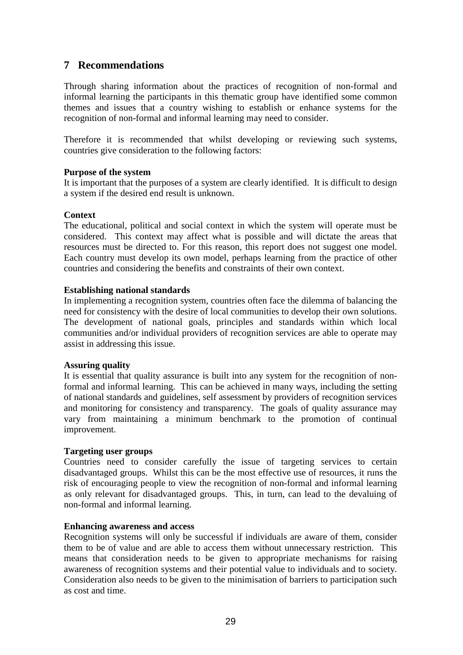# **7 Recommendations**

Through sharing information about the practices of recognition of non-formal and informal learning the participants in this thematic group have identified some common themes and issues that a country wishing to establish or enhance systems for the recognition of non-formal and informal learning may need to consider.

Therefore it is recommended that whilst developing or reviewing such systems, countries give consideration to the following factors:

#### **Purpose of the system**

It is important that the purposes of a system are clearly identified. It is difficult to design a system if the desired end result is unknown.

#### **Context**

The educational, political and social context in which the system will operate must be considered. This context may affect what is possible and will dictate the areas that resources must be directed to. For this reason, this report does not suggest one model. Each country must develop its own model, perhaps learning from the practice of other countries and considering the benefits and constraints of their own context.

#### **Establishing national standards**

In implementing a recognition system, countries often face the dilemma of balancing the need for consistency with the desire of local communities to develop their own solutions. The development of national goals, principles and standards within which local communities and/or individual providers of recognition services are able to operate may assist in addressing this issue.

#### **Assuring quality**

It is essential that quality assurance is built into any system for the recognition of nonformal and informal learning. This can be achieved in many ways, including the setting of national standards and guidelines, self assessment by providers of recognition services and monitoring for consistency and transparency. The goals of quality assurance may vary from maintaining a minimum benchmark to the promotion of continual improvement.

#### **Targeting user groups**

Countries need to consider carefully the issue of targeting services to certain disadvantaged groups. Whilst this can be the most effective use of resources, it runs the risk of encouraging people to view the recognition of non-formal and informal learning as only relevant for disadvantaged groups. This, in turn, can lead to the devaluing of non-formal and informal learning.

#### **Enhancing awareness and access**

Recognition systems will only be successful if individuals are aware of them, consider them to be of value and are able to access them without unnecessary restriction. This means that consideration needs to be given to appropriate mechanisms for raising awareness of recognition systems and their potential value to individuals and to society. Consideration also needs to be given to the minimisation of barriers to participation such as cost and time.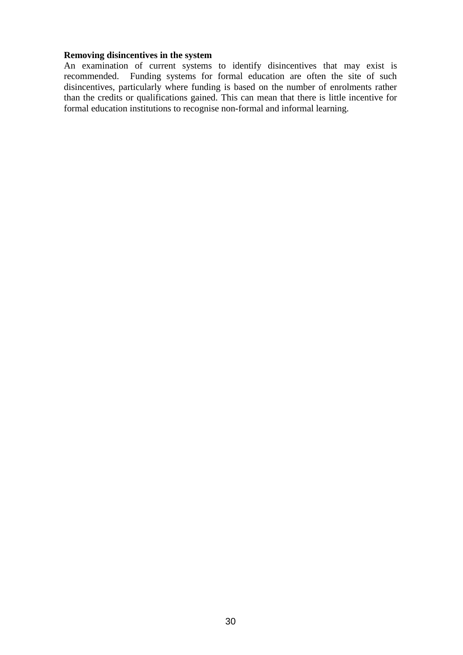#### **Removing disincentives in the system**

An examination of current systems to identify disincentives that may exist is recommended. Funding systems for formal education are often the site of such disincentives, particularly where funding is based on the number of enrolments rather than the credits or qualifications gained. This can mean that there is little incentive for formal education institutions to recognise non-formal and informal learning.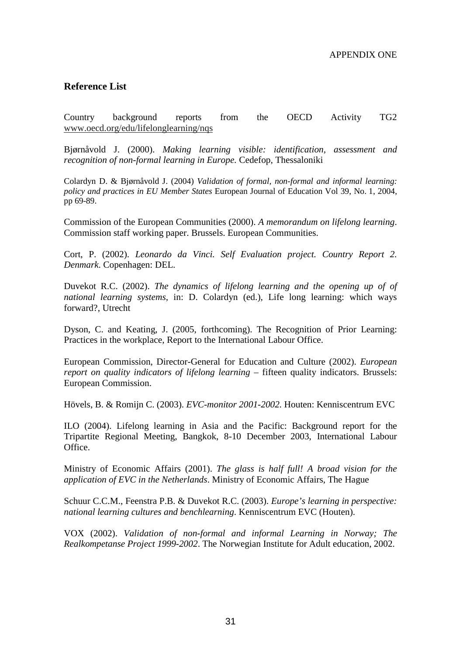#### **Reference List**

Country background reports from the OECD Activity TG2 www.oecd.org/edu/lifelonglearning/nqs

Bjørnåvold J. (2000). *Making learning visible: identification, assessment and recognition of non-formal learning in Europe.* Cedefop, Thessaloniki

Colardyn D. & Bjørnåvold J. (2004) *Validation of formal, non-formal and informal learning: policy and practices in EU Member States* European Journal of Education Vol 39, No. 1, 2004, pp 69-89.

Commission of the European Communities (2000). *A memorandum on lifelong learning*. Commission staff working paper. Brussels. European Communities.

Cort, P. (2002). *Leonardo da Vinci. Self Evaluation project. Country Report 2. Denmark*. Copenhagen: DEL.

Duvekot R.C. (2002). *The dynamics of lifelong learning and the opening up of of national learning systems*, in: D. Colardyn (ed.), Life long learning: which ways forward?, Utrecht

Dyson, C. and Keating, J. (2005, forthcoming). The Recognition of Prior Learning: Practices in the workplace, Report to the International Labour Office.

European Commission, Director-General for Education and Culture (2002). *European report on quality indicators of lifelong learning – fifteen quality indicators. Brussels:* European Commission.

Hövels, B. & Romijn C. (2003). *EVC-monitor 2001-2002.* Houten: Kenniscentrum EVC

ILO (2004). Lifelong learning in Asia and the Pacific: Background report for the Tripartite Regional Meeting, Bangkok, 8-10 December 2003, International Labour Office.

Ministry of Economic Affairs (2001). *The glass is half full! A broad vision for the application of EVC in the Netherlands*. Ministry of Economic Affairs, The Hague

Schuur C.C.M., Feenstra P.B. & Duvekot R.C. (2003). *Europe's learning in perspective: national learning cultures and benchlearning*. Kenniscentrum EVC (Houten).

VOX (2002). *Validation of non-formal and informal Learning in Norway; The Realkompetanse Project 1999-2002*. The Norwegian Institute for Adult education, 2002.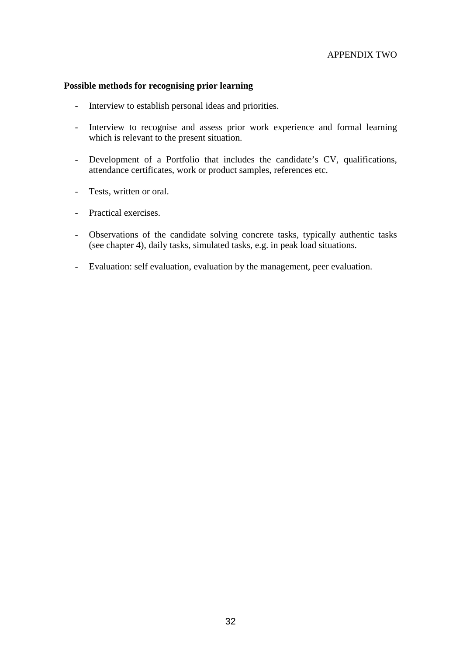#### **Possible methods for recognising prior learning**

- Interview to establish personal ideas and priorities.
- Interview to recognise and assess prior work experience and formal learning which is relevant to the present situation.
- Development of a Portfolio that includes the candidate's CV, qualifications, attendance certificates, work or product samples, references etc.
- Tests, written or oral.
- Practical exercises.
- Observations of the candidate solving concrete tasks, typically authentic tasks (see chapter 4), daily tasks, simulated tasks, e.g. in peak load situations.
- Evaluation: self evaluation, evaluation by the management, peer evaluation.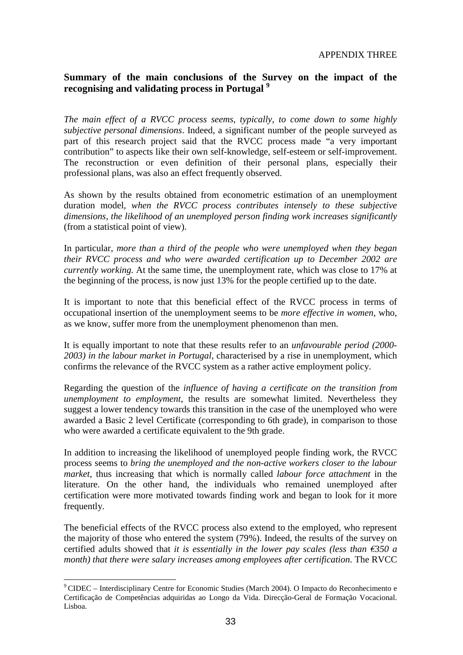### **Summary of the main conclusions of the Survey on the impact of the recognising and validating process in Portugal <sup>9</sup>**

*The main effect of a RVCC process seems, typically, to come down to some highly subjective personal dimensions*. Indeed, a significant number of the people surveyed as part of this research project said that the RVCC process made "a very important contribution" to aspects like their own self-knowledge, self-esteem or self-improvement. The reconstruction or even definition of their personal plans, especially their professional plans, was also an effect frequently observed.

As shown by the results obtained from econometric estimation of an unemployment duration model, *when the RVCC process contributes intensely to these subjective dimensions, the likelihood of an unemployed person finding work increases significantly* (from a statistical point of view).

In particular, *more than a third of the people who were unemployed when they began their RVCC process and who were awarded certification up to December 2002 are currently working.* At the same time, the unemployment rate, which was close to 17% at the beginning of the process, is now just 13% for the people certified up to the date.

It is important to note that this beneficial effect of the RVCC process in terms of occupational insertion of the unemployment seems to be *more effective in women*, who, as we know, suffer more from the unemployment phenomenon than men.

It is equally important to note that these results refer to an *unfavourable period (2000- 2003) in the labour market in Portugal*, characterised by a rise in unemployment, which confirms the relevance of the RVCC system as a rather active employment policy.

Regarding the question of the *influence of having a certificate on the transition from unemployment to employment*, the results are somewhat limited. Nevertheless they suggest a lower tendency towards this transition in the case of the unemployed who were awarded a Basic 2 level Certificate (corresponding to 6th grade), in comparison to those who were awarded a certificate equivalent to the 9th grade.

In addition to increasing the likelihood of unemployed people finding work, the RVCC process seems to *bring the unemployed and the non-active workers closer to the labour market*, thus increasing that which is normally called *labour force attachment* in the literature. On the other hand, the individuals who remained unemployed after certification were more motivated towards finding work and began to look for it more frequently.

The beneficial effects of the RVCC process also extend to the employed, who represent the majority of those who entered the system (79%). Indeed, the results of the survey on certified adults showed that *it is essentially in the lower pay scales (less than*  $\epsilon$ 350 a *month) that there were salary increases among employees after certification*. The RVCC

l

<sup>9</sup> CIDEC – Interdisciplinary Centre for Economic Studies (March 2004). O Impacto do Reconhecimento e Certificação de Competências adquiridas ao Longo da Vida. Direcção-Geral de Formação Vocacional. Lisboa.